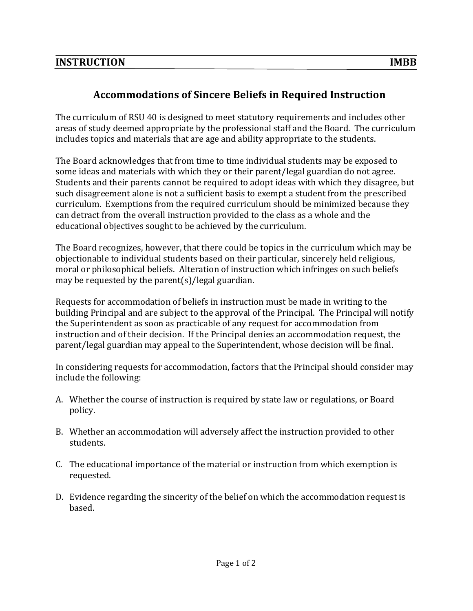## **Accommodations of Sincere Beliefs in Required Instruction**

The curriculum of RSU 40 is designed to meet statutory requirements and includes other areas of study deemed appropriate by the professional staff and the Board. The curriculum includes topics and materials that are age and ability appropriate to the students.

The Board acknowledges that from time to time individual students may be exposed to some ideas and materials with which they or their parent/legal guardian do not agree. Students and their parents cannot be required to adopt ideas with which they disagree, but such disagreement alone is not a sufficient basis to exempt a student from the prescribed curriculum. Exemptions from the required curriculum should be minimized because they can detract from the overall instruction provided to the class as a whole and the educational objectives sought to be achieved by the curriculum.

The Board recognizes, however, that there could be topics in the curriculum which may be objectionable to individual students based on their particular, sincerely held religious, moral or philosophical beliefs. Alteration of instruction which infringes on such beliefs may be requested by the parent(s)/legal guardian.

Requests for accommodation of beliefs in instruction must be made in writing to the building Principal and are subject to the approval of the Principal. The Principal will notify the Superintendent as soon as practicable of any request for accommodation from instruction and of their decision. If the Principal denies an accommodation request, the parent/legal guardian may appeal to the Superintendent, whose decision will be final.

In considering requests for accommodation, factors that the Principal should consider may include the following:

- A. Whether the course of instruction is required by state law or regulations, or Board policy.
- B. Whether an accommodation will adversely affect the instruction provided to other students.
- C. The educational importance of the material or instruction from which exemption is requested.
- D. Evidence regarding the sincerity of the belief on which the accommodation request is based.